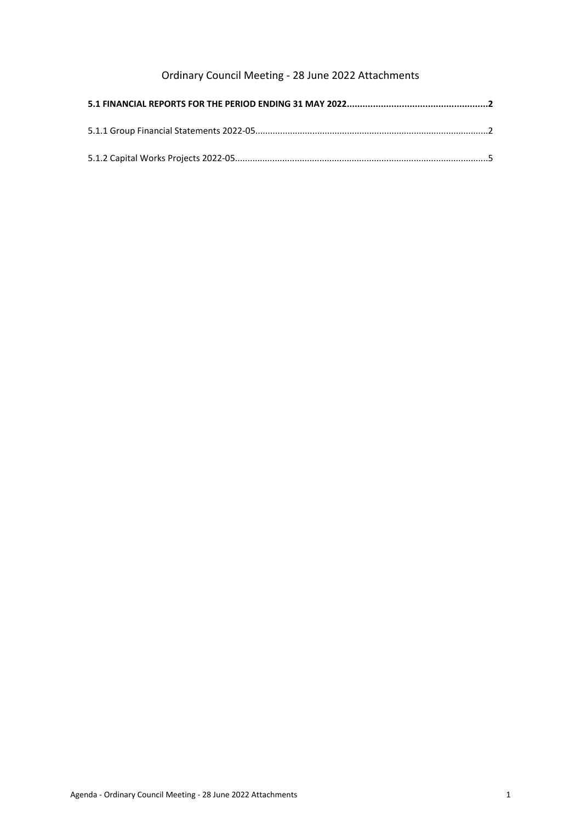### Ordinary Council Meeting - 28 June 2022 Attachments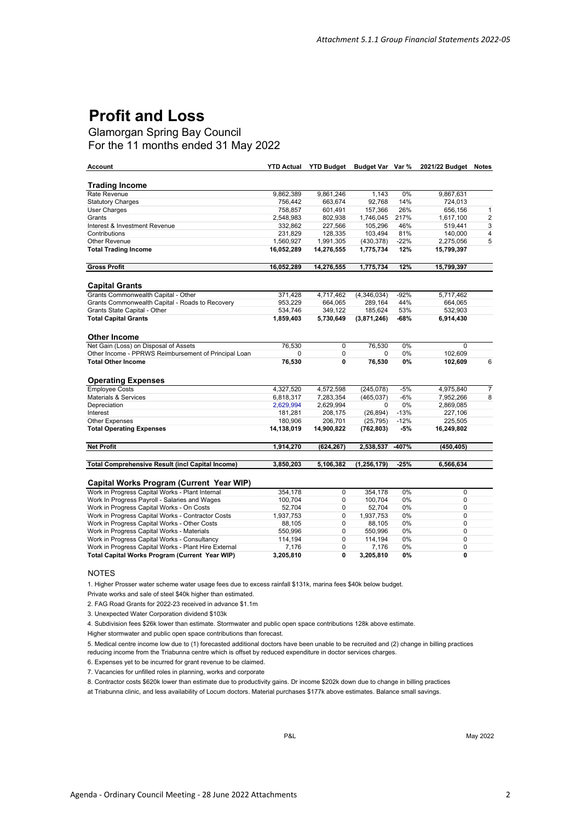## <span id="page-1-0"></span>**Profit and Loss**

Glamorgan Spring Bay Council For the 11 months ended 31 May 2022

| Account                                                 | <b>YTD Actual</b> | <b>YTD Budget</b> | Budget Var Var % |               | 2021/22 Budget | <b>Notes</b>   |
|---------------------------------------------------------|-------------------|-------------------|------------------|---------------|----------------|----------------|
|                                                         |                   |                   |                  |               |                |                |
| <b>Trading Income</b>                                   |                   |                   |                  |               |                |                |
| Rate Revenue                                            | 9,862,389         | 9,861,246         | 1,143            | 0%            | 9,867,631      |                |
| <b>Statutory Charges</b>                                | 756,442           | 663,674           | 92,768           | 14%           | 724,013        |                |
| <b>User Charges</b>                                     | 758,857           | 601,491           | 157,366          | 26%           | 656,156        | 1              |
| Grants                                                  | 2,548,983         | 802,938           | 1,746,045        | 217%          | 1,617,100      | $\overline{c}$ |
| Interest & Investment Revenue                           | 332,862           | 227,566           | 105,296          | 46%           | 519,441        | 3              |
| Contributions                                           | 231,829           | 128,335           | 103,494          | 81%           | 140,000        | $\overline{4}$ |
| <b>Other Revenue</b>                                    | 1,560,927         | 1,991,305         | (430, 378)       | $-22%$        | 2,275,056      | 5              |
| <b>Total Trading Income</b>                             | 16,052,289        | 14,276,555        | 1,775,734        | 12%           | 15,799,397     |                |
| <b>Gross Profit</b>                                     | 16,052,289        | 14,276,555        | 1,775,734        | 12%           | 15,799,397     |                |
|                                                         |                   |                   |                  |               |                |                |
| <b>Capital Grants</b>                                   |                   |                   |                  |               |                |                |
| Grants Commonwealth Capital - Other                     | 371,428           | 4,717,462         | (4,346,034)      | $-92%$<br>44% | 5,717,462      |                |
| Grants Commonwealth Capital - Roads to Recovery         | 953,229           | 664,065           | 289,164          |               | 664,065        |                |
| Grants State Capital - Other                            | 534,746           | 349,122           | 185,624          | 53%           | 532,903        |                |
| <b>Total Capital Grants</b>                             | 1,859,403         | 5,730,649         | (3,871,246)      | -68%          | 6,914,430      |                |
| <b>Other Income</b>                                     |                   |                   |                  |               |                |                |
| Net Gain (Loss) on Disposal of Assets                   | 76,530            | 0                 | 76,530           | 0%            | 0              |                |
| Other Income - PPRWS Reimbursement of Principal Loan    | 0                 | 0                 | 0                | $0\%$         | 102,609        |                |
| <b>Total Other Income</b>                               | 76,530            | 0                 | 76,530           | 0%            | 102,609        | 6              |
| <b>Operating Expenses</b>                               |                   |                   |                  |               |                |                |
| <b>Employee Costs</b>                                   | 4,327,520         | 4,572,598         | (245,078)        | $-5%$         | 4,975,840      | $\overline{7}$ |
| <b>Materials &amp; Services</b>                         | 6,818,317         | 7,283,354         | (465, 037)       | $-6%$         | 7,952,266      | 8              |
| Depreciation                                            | 2,629,994         | 2,629,994         | 0                | $0\%$         | 2,869,085      |                |
| Interest                                                | 181,281           | 208,175           | (26, 894)        | $-13%$        | 227,106        |                |
| <b>Other Expenses</b>                                   | 180,906           | 206,701           | (25, 795)        | $-12%$        | 225,505        |                |
| <b>Total Operating Expenses</b>                         | 14,138,019        | 14,900,822        | (762, 803)       | $-5%$         | 16,249,802     |                |
|                                                         |                   |                   |                  |               |                |                |
| <b>Net Profit</b>                                       | 1,914,270         | (624, 267)        | 2,538,537        | $-407%$       | (450, 405)     |                |
| <b>Total Comprehensive Result (incl Capital Income)</b> | 3,850,203         | 5,106,382         | (1, 256, 179)    | $-25%$        | 6,566,634      |                |
|                                                         |                   |                   |                  |               |                |                |
| Capital Works Program (Current Year WIP)                |                   |                   |                  |               |                |                |
| Work in Progress Capital Works - Plant Internal         | 354,178           | 0                 | 354,178          | 0%            | 0              |                |
| Work In Progress Payroll - Salaries and Wages           | 100,704           | 0                 | 100,704          | 0%            | 0              |                |
| Work in Progress Capital Works - On Costs               | 52,704            | 0                 | 52,704           | 0%            | 0              |                |
| Work in Progress Capital Works - Contractor Costs       | 1,937,753         | 0                 | 1,937,753        | 0%            | 0              |                |
| Work in Progress Capital Works - Other Costs            | 88,105            | 0                 | 88,105           | 0%            | 0              |                |
| Work in Progress Capital Works - Materials              | 550,996           | 0                 | 550,996          | 0%            | 0              |                |
| Work in Progress Capital Works - Consultancy            | 114,194           | 0                 | 114,194          | 0%            | 0              |                |
| Work in Progress Capital Works - Plant Hire External    | 7,176             | 0                 | 7,176            | 0%            | 0              |                |
| <b>Total Capital Works Program (Current Year WIP)</b>   | 3,205,810         | 0                 | 3,205,810        | 0%            | 0              |                |

#### NOTES

1. Higher Prosser water scheme water usage fees due to excess rainfall \$131k, marina fees \$40k below budget.

Private works and sale of steel \$40k higher than estimated.

2. FAG Road Grants for 2022-23 received in advance \$1.1m

3. Unexpected Water Corporation dividend \$103k

4. Subdivision fees \$26k lower than estimate. Stormwater and public open space contributions 128k above estimate.

Higher stormwater and public open space contributions than forecast.

5. Medical centre income low due to (1) forecasted additional doctors have been unable to be recruited and (2) change in billing practices

reducing income from the Triabunna centre which is offset by reduced expenditure in doctor services charges.

6. Expenses yet to be incurred for grant revenue to be claimed.

7. Vacancies for unfilled roles in planning, works and corporate

8. Contractor costs \$620k lower than estimate due to productivity gains. Dr income \$202k down due to change in billing practices

at Triabunna clinic, and less availability of Locum doctors. Material purchases \$177k above estimates. Balance small savings.

P&L May 2022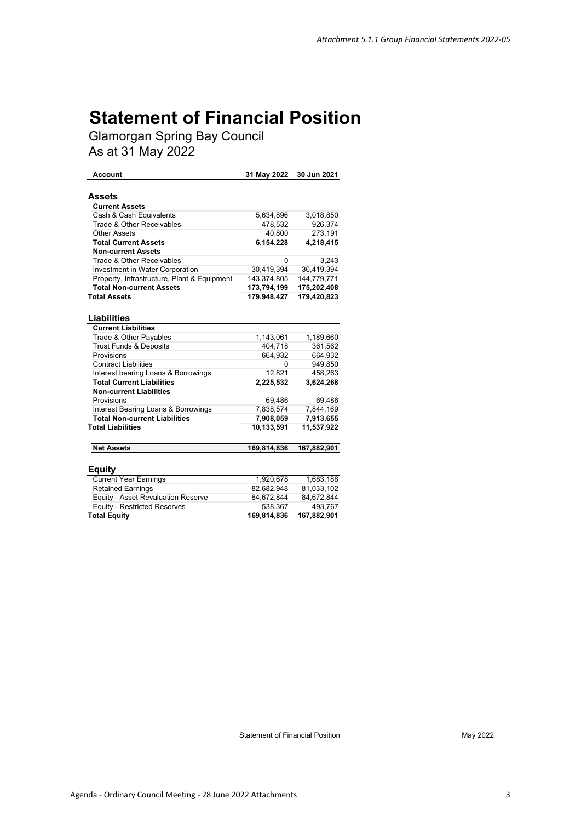# **Statement of Financial Position**

Glamorgan Spring Bay Council As at 31 May 2022

| <b>Account</b>                              | 31 May 2022 | 30 Jun 2021 |  |
|---------------------------------------------|-------------|-------------|--|
|                                             |             |             |  |
| Assets                                      |             |             |  |
| <b>Current Assets</b>                       |             |             |  |
| Cash & Cash Equivalents                     | 5,634,896   | 3,018,850   |  |
| Trade & Other Receivables                   | 478,532     | 926,374     |  |
| <b>Other Assets</b>                         | 40,800      | 273,191     |  |
| <b>Total Current Assets</b>                 | 6,154,228   | 4,218,415   |  |
| <b>Non-current Assets</b>                   |             |             |  |
| Trade & Other Receivables                   | 0           | 3,243       |  |
| <b>Investment in Water Corporation</b>      | 30,419,394  | 30,419,394  |  |
| Property, Infrastructure, Plant & Equipment | 143,374,805 | 144,779,771 |  |
| <b>Total Non-current Assets</b>             | 173,794,199 | 175,202,408 |  |
| <b>Total Assets</b>                         | 179,948,427 | 179,420,823 |  |
|                                             |             |             |  |
| Liabilities                                 |             |             |  |
| <b>Current Liabilities</b>                  |             |             |  |
| Trade & Other Payables                      | 1,143,061   | 1,189,660   |  |
| <b>Trust Funds &amp; Deposits</b>           | 404,718     | 361,562     |  |
| Provisions                                  | 664,932     | 664,932     |  |
| <b>Contract Liabilities</b>                 | 0           | 949,850     |  |
| Interest bearing Loans & Borrowings         | 12,821      | 458,263     |  |
| <b>Total Current Liabilities</b>            | 2,225,532   | 3,624,268   |  |
| <b>Non-current Liabilities</b>              |             |             |  |
| Provisions                                  | 69,486      | 69,486      |  |
| Interest Bearing Loans & Borrowings         | 7,838,574   | 7,844,169   |  |
| <b>Total Non-current Liabilities</b>        | 7,908,059   | 7,913,655   |  |
| <b>Total Liabilities</b>                    | 10,133,591  | 11,537,922  |  |
| <b>Net Assets</b>                           | 169,814,836 | 167,882,901 |  |
|                                             |             |             |  |
| Equity                                      |             |             |  |
| <b>Current Year Earnings</b>                | 1,920,678   | 1,683,188   |  |
| <b>Retained Earnings</b>                    | 82,682,948  | 81,033,102  |  |
| <b>Equity - Asset Revaluation Reserve</b>   | 84,672,844  | 84,672,844  |  |
| <b>Equity - Restricted Reserves</b>         | 538,367     | 493,767     |  |
| <b>Total Equity</b>                         |             |             |  |
|                                             | 169,814,836 | 167,882,901 |  |

Statement of Financial Position May 2022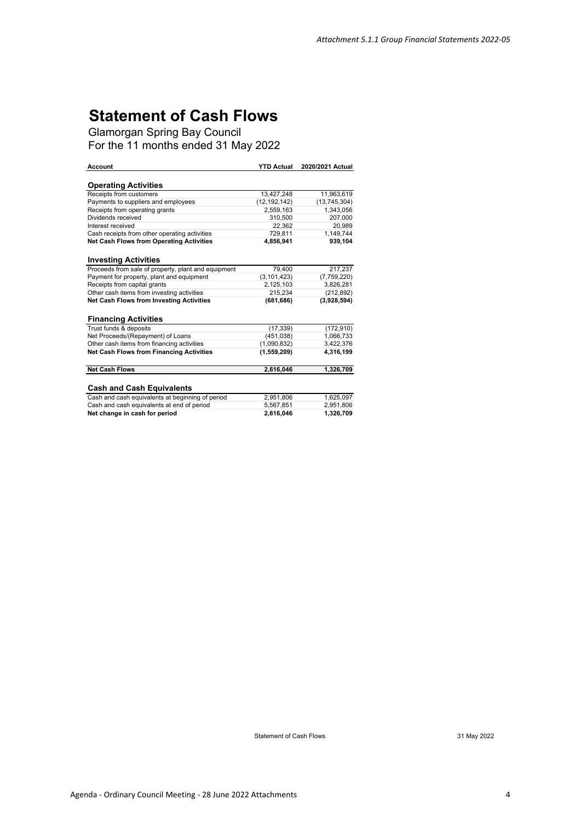## **Statement of Cash Flows**

Glamorgan Spring Bay Council

For the 11 months ended 31 May 2022

| <b>Account</b>                                      | <b>YTD Actual</b> | 2020/2021 Actual |
|-----------------------------------------------------|-------------------|------------------|
|                                                     |                   |                  |
| <b>Operating Activities</b>                         |                   |                  |
| Receipts from customers                             | 13,427,248        | 11,963,619       |
| Payments to suppliers and employees                 | (12, 192, 142)    | (13, 745, 304)   |
| Receipts from operating grants                      | 2,559,163         | 1.343.056        |
| Dividends received                                  | 310,500           | 207,000          |
| Interest received                                   | 22,362            | 20.989           |
| Cash receipts from other operating activities       | 729,811           | 1,149,744        |
| <b>Net Cash Flows from Operating Activities</b>     | 4,856,941         | 939.104          |
| <b>Investing Activities</b>                         |                   |                  |
| Proceeds from sale of property, plant and equipment | 79.400            | 217,237          |
| Payment for property, plant and equipment           | (3, 101, 423)     | (7,759,220)      |
| Receipts from capital grants                        | 2,125,103         | 3,826,281        |
| Other cash items from investing activities          | 215,234           | (212, 892)       |
| <b>Net Cash Flows from Investing Activities</b>     | (681, 686)        | (3,928,594)      |
| <b>Financing Activities</b>                         |                   |                  |
| Trust funds & deposits                              | (17, 339)         | (172, 910)       |
| Net Proceeds/(Repayment) of Loans                   | (451, 038)        | 1,066,733        |
| Other cash items from financing activities          | (1,090,832)       | 3,422,376        |
| <b>Net Cash Flows from Financing Activities</b>     | (1,559,209)       | 4,316,199        |
| <b>Net Cash Flows</b>                               | 2,616,046         | 1,326,709        |
|                                                     |                   |                  |
| <b>Cash and Cash Equivalents</b>                    |                   |                  |
| Cash and cash equivalents at beginning of period    | 2,951,806         | 1,625,097        |
| Cash and cash equivalents at end of period          | 5,567,851         | 2,951,806        |
| Net change in cash for period                       | 2,616,046         | 1,326,709        |

Statement of Cash Flows 31 May 2022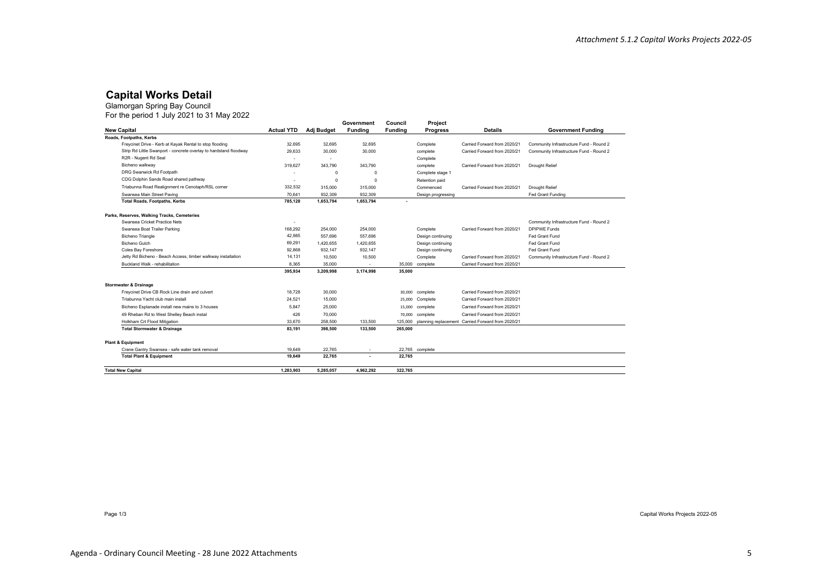#### **Capital Works Detail**

#### Glamorgan Spring Bay Council For the period 1 July 2021 to 31 May 2022

|                                                                   |                          |            | Government | Council | Project            |                                                   |                                         |
|-------------------------------------------------------------------|--------------------------|------------|------------|---------|--------------------|---------------------------------------------------|-----------------------------------------|
| <b>New Capital</b>                                                | <b>Actual YTD</b>        | Adj Budget | Fundina    | Fundina | <b>Progress</b>    | <b>Details</b>                                    | <b>Government Funding</b>               |
| Roads, Footpaths, Kerbs                                           |                          |            |            |         |                    |                                                   |                                         |
| Freycinet Drive - Kerb at Kayak Rental to stop flooding           | 32.695                   | 32,695     | 32.695     |         | Complete           | Carried Forward from 2020/21                      | Community Infrastructure Fund - Round 2 |
| Strip Rd Little Swanport - concrete overlay to hardstand floodway | 29.633                   | 30,000     | 30,000     |         | complete           | Carried Forward from 2020/21                      | Community Infrastructure Fund - Round 2 |
| R2R - Nugent Rd Seal                                              | $\overline{\phantom{a}}$ |            |            |         | Complete           |                                                   |                                         |
| Bicheno walkway                                                   | 319,627                  | 343,790    | 343.790    |         | complete           | Carried Forward from 2020/21                      | <b>Drought Relief</b>                   |
| DRG Swanwick Rd Footpath                                          | $\overline{\phantom{a}}$ | $\Omega$   | $\Omega$   |         | Complete stage 1   |                                                   |                                         |
| CDG Dolphin Sands Road shared pathway                             | $\overline{\phantom{a}}$ | $\Omega$   | $\Omega$   |         | Retention paid     |                                                   |                                         |
| Triabunna Road Realignment re Cenotaph/RSL corner                 | 332,532                  | 315,000    | 315,000    |         | Commenced          | Carried Forward from 2020/21                      | <b>Drought Relief</b>                   |
| Swansea Main Street Paving                                        | 70.641                   | 932.309    | 932.309    |         | Design progressing |                                                   | Fed Grant Funding                       |
| <b>Total Roads, Footpaths, Kerbs</b>                              | 785,128                  | 1,653,794  | 1,653,794  |         |                    |                                                   |                                         |
| Parks, Reserves, Walking Tracks, Cemeteries                       |                          |            |            |         |                    |                                                   |                                         |
| Swansea Cricket Practice Nets                                     | $\overline{\phantom{a}}$ |            |            |         |                    |                                                   | Community Infrastructure Fund - Round 2 |
| Swansea Boat Trailer Parking                                      | 168,292                  | 254.000    | 254,000    |         | Complete           | Carried Forward from 2020/21                      | <b>DPIPWE Funds</b>                     |
| <b>Bicheno Triangle</b>                                           | 42,985                   | 557.696    | 557,696    |         | Design continuing  |                                                   | Fed Grant Fund                          |
| Bicheno Gulch                                                     | 69,291                   | 1,420,655  | 1,420,655  |         | Design continuing  |                                                   | Fed Grant Fund                          |
| Coles Bay Foreshore                                               | 92,868                   | 932.147    | 932.147    |         | Design continuing  |                                                   | Fed Grant Fund                          |
| Jetty Rd Bicheno - Beach Access, timber walkway installation      | 14.131                   | 10,500     | 10,500     |         | Complete           | Carried Forward from 2020/21                      | Community Infrastructure Fund - Round 2 |
| Buckland Walk - rehabilitation                                    | 8,365                    | 35,000     |            | 35,000  | complete           | Carried Forward from 2020/21                      |                                         |
|                                                                   | 395.934                  | 3.209.998  | 3.174.998  | 35,000  |                    |                                                   |                                         |
| <b>Stormwater &amp; Drainage</b>                                  |                          |            |            |         |                    |                                                   |                                         |
| Freycinet Drive CB Rock Line drain and culvert                    | 18.728                   | 30,000     |            | 30,000  | complete           | Carried Forward from 2020/21                      |                                         |
| Triabunna Yacht club main install                                 | 24.521                   | 15,000     |            | 25,000  | Complete           | Carried Forward from 2020/21                      |                                         |
| Bicheno Esplanade install new mains to 3 houses                   | 5.847                    | 25,000     |            | 15,000  | complete           | Carried Forward from 2020/21                      |                                         |
| 49 Rheban Rd to West Shelley Beach instal                         | 426                      | 70,000     |            | 70,000  | complete           | Carried Forward from 2020/21                      |                                         |
| Holkham Crt Flood Mitigation                                      | 33.670                   | 258,500    | 133,500    | 125,000 |                    | planning replacement Carried Forward from 2020/21 |                                         |
| <b>Total Stormwater &amp; Drainage</b>                            | 83.191                   | 398,500    | 133,500    | 265,000 |                    |                                                   |                                         |
| <b>Plant &amp; Equipment</b>                                      |                          |            |            |         |                    |                                                   |                                         |
| Crane Gantry Swansea - safe water tank removal                    | 19.649                   | 22,765     |            |         | 22,765 complete    |                                                   |                                         |
| <b>Total Plant &amp; Equipment</b>                                | 19.649                   | 22,765     |            | 22,765  |                    |                                                   |                                         |
| <b>Total New Capital</b>                                          | 1.283.903                | 5.285.057  | 4,962,292  | 322.765 |                    |                                                   |                                         |

<span id="page-4-0"></span>

Page 1/3 Capital Works Projects 2022-05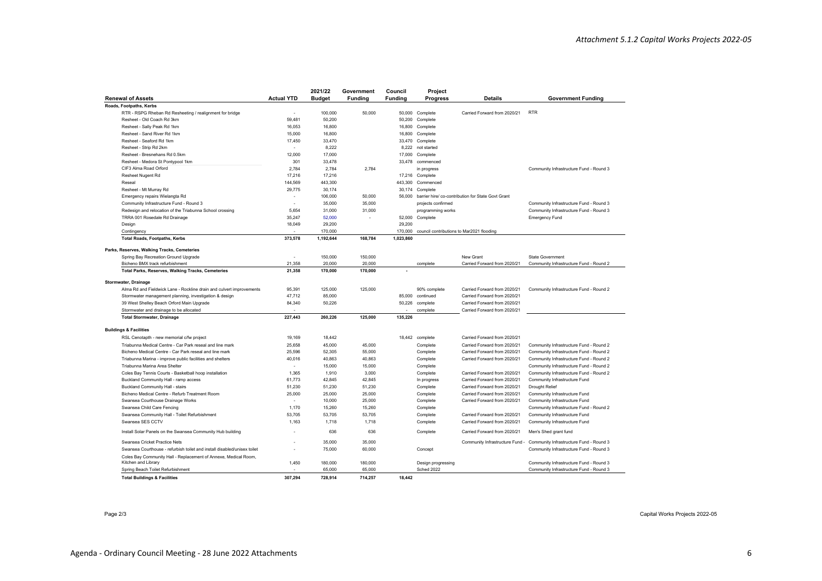|                                                                                     |                   | 2021/22       | Government     | Council        | Project                                   |                                                   |                                         |
|-------------------------------------------------------------------------------------|-------------------|---------------|----------------|----------------|-------------------------------------------|---------------------------------------------------|-----------------------------------------|
| <b>Renewal of Assets</b>                                                            | <b>Actual YTD</b> | <b>Budget</b> | <b>Funding</b> | <b>Funding</b> | <b>Progress</b>                           | <b>Details</b>                                    | <b>Government Funding</b>               |
| Roads, Footpaths, Kerbs                                                             |                   |               |                |                |                                           |                                                   |                                         |
| RTR - RSPG Rheban Rd Resheeting / realignment for bridge                            | ×                 | 100,000       | 50,000         |                | 50,000 Complete                           | Carried Forward from 2020/21                      | <b>RTR</b>                              |
| Resheet - Old Coach Rd 3km                                                          | 59,481            | 50,200        |                | 50,200         | Complete                                  |                                                   |                                         |
| Resheet - Sally Peak Rd 1km                                                         | 16,053            | 16,800        |                | 16,800         | Complete                                  |                                                   |                                         |
| Resheet - Sand River Rd 1km                                                         | 15,000            | 16,800        |                | 16,800         | Complete                                  |                                                   |                                         |
| Resheet - Seaford Rd 1km                                                            | 17,450            | 33,470        |                | 33,470         | Complete                                  |                                                   |                                         |
| Resheet - Strip Rd 2km                                                              | $\epsilon$        | 8,222         |                | 8,222          | not started                               |                                                   |                                         |
| Resheet - Bresnehans Rd 0.5km                                                       | 12,000            | 17,000        |                | 17,000         | Complete                                  |                                                   |                                         |
| Resheet - Medora St Pontypool 1km                                                   | 301               | 33,478        |                | 33,478         | commenced                                 |                                                   |                                         |
| CIF3 Alma Road Orford                                                               | 2,784             | 2,784         | 2,784          |                | in progress                               |                                                   | Community Infrastructure Fund - Round 3 |
| Resheet Nugent Rd                                                                   | 17,216            | 17,216        |                |                | 17,216 Complete                           |                                                   |                                         |
| Reseal                                                                              | 144,569           | 443,300       |                | 443,300        | Commenced                                 |                                                   |                                         |
| Resheet - Mt Murray Rd                                                              | 29,775            | 30,174        |                |                | 30,174 Complete                           |                                                   |                                         |
| Emergency repairs Wielangta Rd                                                      | ×,                | 106,000       | 50,000         | 56,000         |                                           | barrier hire/co-contribution for State Govt Grant |                                         |
| Community Infrastructure Fund - Round 3                                             |                   | 35,000        | 35,000         |                | projects confirmed                        |                                                   | Community Infrastructure Fund - Round 3 |
| Redesign and relocation of the Triabunna School crossing                            | 5.654             | 31,000        | 31,000         |                | programming works                         |                                                   | Community Infrastructure Fund - Round 3 |
| TRRA 001 Rosedale Rd Drainage                                                       | 35,247            | 52,000        |                |                | 52,000 Complete                           |                                                   | <b>Emergency Fund</b>                   |
| Design                                                                              | 18,049            | 29,200        |                | 29,200         |                                           |                                                   |                                         |
| Contingency                                                                         |                   | 170,000       |                | 170,000        | council contributions to Mar2021 flooding |                                                   |                                         |
| <b>Total Roads, Footpaths, Kerbs</b>                                                | 373,578           | 1,192,644     | 168,784        | 1,023,860      |                                           |                                                   |                                         |
|                                                                                     |                   |               |                |                |                                           |                                                   |                                         |
| Parks, Reserves, Walking Tracks, Cemeteries<br>Spring Bay Recreation Ground Upgrade | ä,                | 150,000       | 150,000        |                |                                           | New Grant                                         | <b>State Government</b>                 |
| Bicheno BMX track refurbishment                                                     | 21,358            | 20,000        | 20.000         |                | complete                                  | Carried Forward from 2020/21                      | Community Infrastructure Fund - Round 2 |
| <b>Total Parks, Reserves, Walking Tracks, Cemeteries</b>                            | 21,358            | 170,000       | 170.000        |                |                                           |                                                   |                                         |
|                                                                                     |                   |               |                |                |                                           |                                                   |                                         |
| Stormwater, Drainage                                                                |                   |               |                |                |                                           |                                                   |                                         |
| Alma Rd and Fieldwick Lane - Rockline drain and culvert improvements                | 95,391            | 125,000       | 125,000        |                | 90% complete                              | Carried Forward from 2020/21                      | Community Infrastructure Fund - Round 2 |
| Stormwater management planning, investigation & design                              | 47.712            | 85,000        |                | 85,000         | continued                                 | Carried Forward from 2020/21                      |                                         |
| 39 West Shelley Beach Orford Main Upgrade                                           | 84,340            | 50,226        |                | 50,226         | complete                                  | Carried Forward from 2020/21                      |                                         |
| Stormwater and drainage to be allocated                                             |                   |               |                |                | complete                                  | Carried Forward from 2020/21                      |                                         |
| <b>Total Stormwater, Drainage</b>                                                   | 227,443           | 260,226       | 125,000        | 135,226        |                                           |                                                   |                                         |
|                                                                                     |                   |               |                |                |                                           |                                                   |                                         |
| <b>Buildings &amp; Facilities</b>                                                   |                   |               |                |                |                                           |                                                   |                                         |
| RSL Cenotapth - new memorial c/fw project                                           | 19,169            | 18,442        |                |                | 18,442 complete                           | Carried Forward from 2020/21                      |                                         |
| Triabunna Medical Centre - Car Park reseal and line mark                            | 25.658            | 45.000        | 45.000         |                | Complete                                  | Carried Forward from 2020/21                      | Community Infrastructure Fund - Round 2 |
| Bicheno Medical Centre - Car Park reseal and line mark                              | 25,596            | 52,305        | 55,000         |                | Complete                                  | Carried Forward from 2020/21                      | Community Infrastructure Fund - Round 2 |
| Triabunna Marina - improve public facilities and shelters                           | 40,016            | 40,863        | 40,863         |                | Complete                                  | Carried Forward from 2020/21                      | Community Infrastructure Fund - Round 2 |
| Triabunna Marina Area Shelter                                                       | ×                 | 15,000        | 15,000         |                | Complete                                  |                                                   | Community Infrastructure Fund - Round 2 |
| Coles Bay Tennis Courts - Basketball hoop installation                              | 1,365             | 1,910         | 3,000          |                | Complete                                  | Carried Forward from 2020/21                      | Community Infrastructure Fund - Round 2 |
| Buckland Community Hall - ramp access                                               | 61,773            | 42.845        | 42,845         |                | In progress                               | Carried Forward from 2020/21                      | Community Infrastructure Fund           |
| <b>Buckland Community Hall - stairs</b>                                             | 51,230            | 51,230        | 51,230         |                | Complete                                  | Carried Forward from 2020/21                      | <b>Drought Relief</b>                   |
| Bicheno Medical Centre - Refurb Treatment Room                                      | 25,000            | 25,000        | 25,000         |                | Complete                                  | Carried Forward from 2020/21                      | Community Infrastructure Fund           |
| Swansea Courthouse Drainage Works                                                   | ÷.                | 10,000        | 25,000         |                | Complete                                  | Carried Forward from 2020/21                      | Community Infrastructure Fund           |
| Swansea Child Care Fencing                                                          | 1,170             | 15,260        | 15,260         |                | Complete                                  |                                                   | Community Infrastructure Fund - Round 2 |
| Swansea Community Hall - Toilet Refurbishment                                       | 53.705            | 53,705        | 53.705         |                | Complete                                  | Carried Forward from 2020/21                      | Community Infrastructure Fund           |
| Swansea SES CCTV                                                                    | 1.163             | 1,718         | 1,718          |                | Complete                                  | Carried Forward from 2020/21                      | Community Infrastructure Fund           |
| Install Solar Panels on the Swansea Community Hub building                          |                   | 636           | 636            |                | Complete                                  | Carried Forward from 2020/21                      | Men's Shed grant fund                   |
| Swansea Cricket Practice Nets                                                       |                   | 35,000        | 35,000         |                |                                           | Community Infrastructure Fund -                   | Community Infrastructure Fund - Round 3 |
| Swansea Courthouse - refurbish toilet and install disabled/unisex toilet            |                   | 75,000        | 60.000         |                | Concept                                   |                                                   | Community Infrastructure Fund - Round 3 |
| Coles Bay Community Hall - Replacement of Annexe, Medical Room,                     |                   |               |                |                |                                           |                                                   |                                         |
| Kitchen and Library                                                                 | 1,450             | 180,000       | 180,000        |                | Design progressing                        |                                                   | Community Infrastructure Fund - Round 3 |
| Spring Beach Toilet Refurbishment                                                   |                   | 65,000        | 65,000         |                | Sched 2022                                |                                                   | Community Infrastructure Fund - Round 3 |
| <b>Total Buildings &amp; Facilities</b>                                             | 307.294           | 728,914       | 714,257        | 18.442         |                                           |                                                   |                                         |

Page 2/3 Capital Works Projects 2022-05